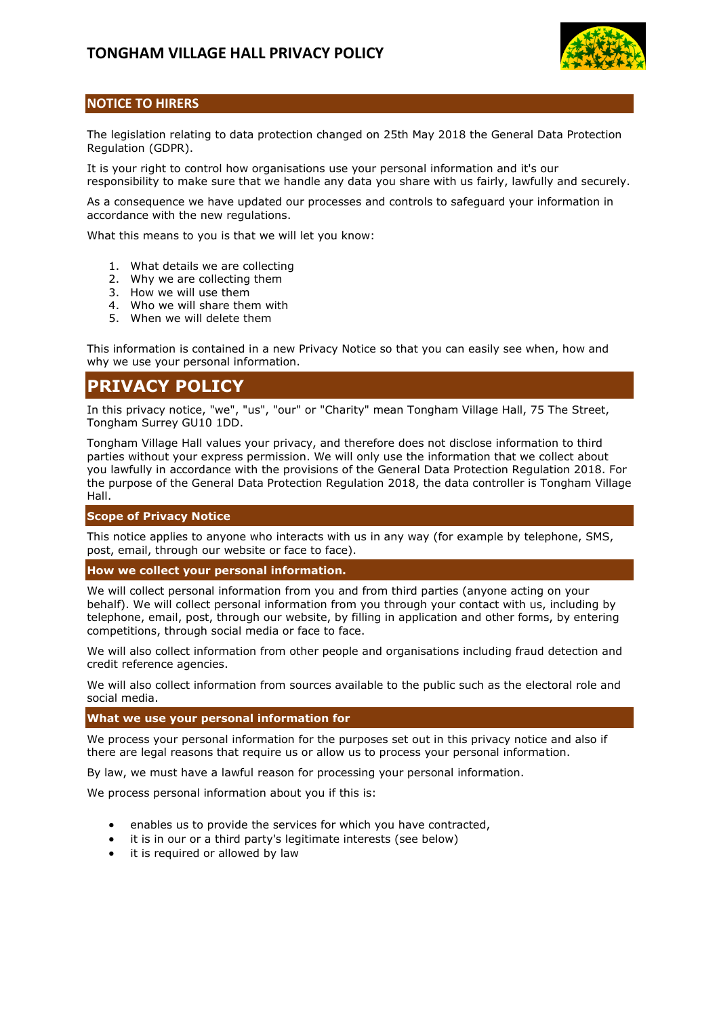

# **NOTICE TO HIRERS**

The legislation relating to data protection changed on 25th May 2018 the General Data Protection Regulation (GDPR).

It is your right to control how organisations use your personal information and it's our responsibility to make sure that we handle any data you share with us fairly, lawfully and securely.

As a consequence we have updated our processes and controls to safeguard your information in accordance with the new regulations.

What this means to you is that we will let you know:

- 1. What details we are collecting
- 2. Why we are collecting them
- 3. How we will use them
- 4. Who we will share them with
- 5. When we will delete them

This information is contained in a new Privacy Notice so that you can easily see when, how and why we use your personal information.

# **PRIVACY POLICY**

In this privacy notice, "we", "us", "our" or "Charity" mean Tongham Village Hall, 75 The Street, Tongham Surrey GU10 1DD.

Tongham Village Hall values your privacy, and therefore does not disclose information to third parties without your express permission. We will only use the information that we collect about you lawfully in accordance with the provisions of the General Data Protection Regulation 2018. For the purpose of the General Data Protection Regulation 2018, the data controller is Tongham Village Hall.

# **Scope of Privacy Notice**

This notice applies to anyone who interacts with us in any way (for example by telephone, SMS, post, email, through our website or face to face).

# **How we collect your personal information.**

We will collect personal information from you and from third parties (anyone acting on your behalf). We will collect personal information from you through your contact with us, including by telephone, email, post, through our website, by filling in application and other forms, by entering competitions, through social media or face to face.

We will also collect information from other people and organisations including fraud detection and credit reference agencies.

We will also collect information from sources available to the public such as the electoral role and social media.

**What we use your personal information for**

We process your personal information for the purposes set out in this privacy notice and also if there are legal reasons that require us or allow us to process your personal information.

By law, we must have a lawful reason for processing your personal information.

We process personal information about you if this is:

- enables us to provide the services for which you have contracted,
- it is in our or a third party's legitimate interests (see below)
- it is required or allowed by law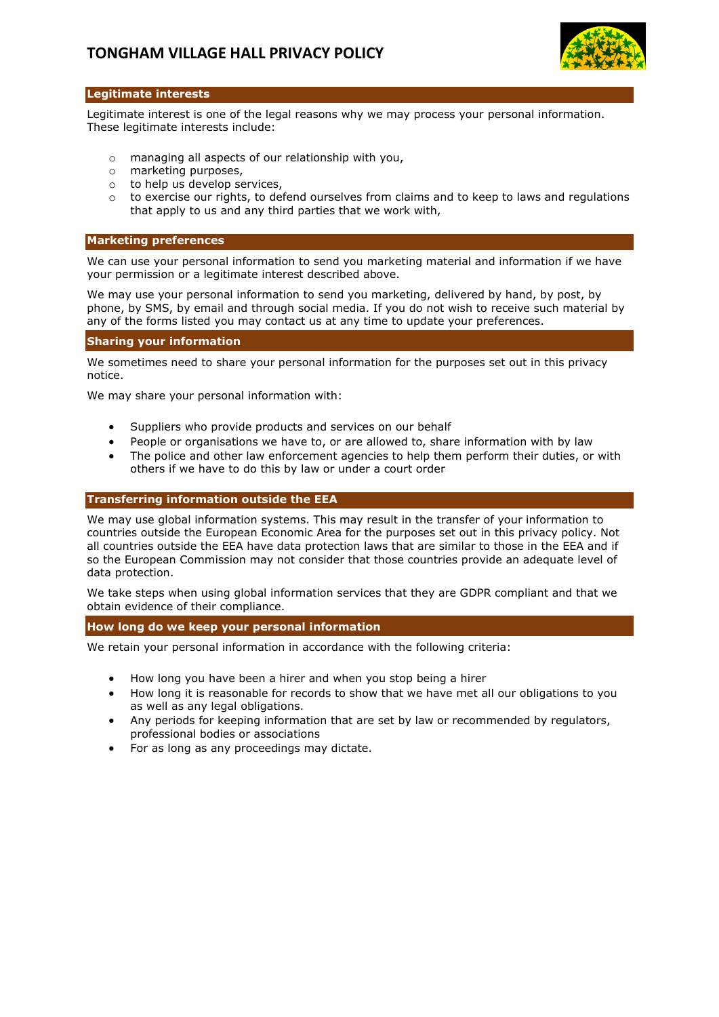

# **Legitimate interests**

Legitimate interest is one of the legal reasons why we may process your personal information. These legitimate interests include:

- o managing all aspects of our relationship with you,
- o marketing purposes,
- o to help us develop services,
- o to exercise our rights, to defend ourselves from claims and to keep to laws and regulations that apply to us and any third parties that we work with,

#### **Marketing preferences**

We can use your personal information to send you marketing material and information if we have your permission or a legitimate interest described above.

We may use your personal information to send you marketing, delivered by hand, by post, by phone, by SMS, by email and through social media. If you do not wish to receive such material by any of the forms listed you may contact us at any time to update your preferences.

#### **Sharing your information**

We sometimes need to share your personal information for the purposes set out in this privacy notice.

We may share your personal information with:

- Suppliers who provide products and services on our behalf
- People or organisations we have to, or are allowed to, share information with by law
- The police and other law enforcement agencies to help them perform their duties, or with others if we have to do this by law or under a court order

#### **Transferring information outside the EEA**

We may use global information systems. This may result in the transfer of your information to countries outside the European Economic Area for the purposes set out in this privacy policy. Not all countries outside the EEA have data protection laws that are similar to those in the EEA and if so the European Commission may not consider that those countries provide an adequate level of data protection.

We take steps when using global information services that they are GDPR compliant and that we obtain evidence of their compliance.

# **How long do we keep your personal information**

We retain your personal information in accordance with the following criteria:

- How long you have been a hirer and when you stop being a hirer
- How long it is reasonable for records to show that we have met all our obligations to you as well as any legal obligations.
- Any periods for keeping information that are set by law or recommended by regulators, professional bodies or associations
- For as long as any proceedings may dictate.